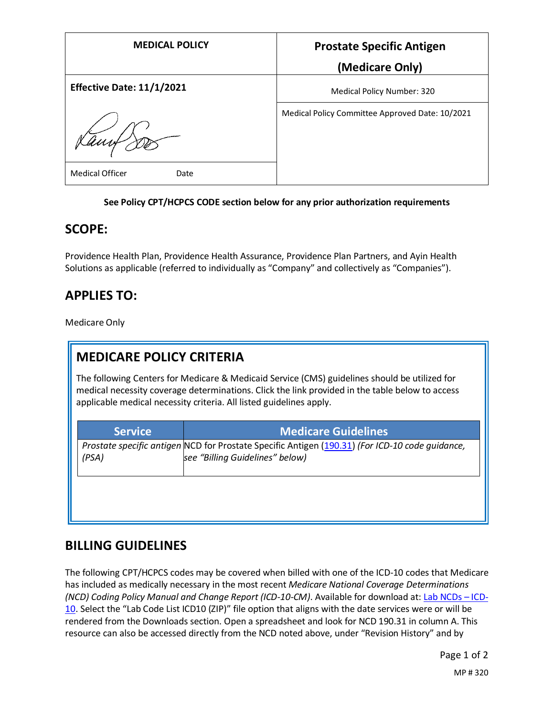| <b>MEDICAL POLICY</b>            | <b>Prostate Specific Antigen</b>                |
|----------------------------------|-------------------------------------------------|
|                                  | (Medicare Only)                                 |
| <b>Effective Date: 11/1/2021</b> | Medical Policy Number: 320                      |
| aunt                             | Medical Policy Committee Approved Date: 10/2021 |
| <b>Medical Officer</b><br>Date   |                                                 |

#### **See Policy CPT/HCPCS CODE section below for any prior authorization requirements**

#### **SCOPE:**

Providence Health Plan, Providence Health Assurance, Providence Plan Partners, and Ayin Health Solutions as applicable (referred to individually as "Company" and collectively as "Companies").

## **APPLIES TO:**

Medicare Only

# **MEDICARE POLICY CRITERIA**

The following Centers for Medicare & Medicaid Service (CMS) guidelines should be utilized for medical necessity coverage determinations. Click the link provided in the table below to access applicable medical necessity criteria. All listed guidelines apply.

| <b>Service</b> | <b>Medicare Guidelines</b>                                                                                                         |
|----------------|------------------------------------------------------------------------------------------------------------------------------------|
| (PSA)          | Prostate specific antigen NCD for Prostate Specific Antigen (190.31) (For ICD-10 code guidance,<br>see "Billing Guidelines" below) |
|                |                                                                                                                                    |

### **BILLING GUIDELINES**

The following CPT/HCPCS codes may be covered when billed with one of the ICD-10 codes that Medicare has included as medically necessary in the most recent *Medicare National Coverage Determinations (NCD) Coding Policy Manual and Change Report (ICD-10-CM)*. Available for download at: [Lab NCDs](https://www.cms.gov/Medicare/Coverage/CoverageGenInfo/LabNCDsICD10) – ICD-[10.](https://www.cms.gov/Medicare/Coverage/CoverageGenInfo/LabNCDsICD10) Select the "Lab Code List ICD10 (ZIP)" file option that aligns with the date services were or will be rendered from the Downloads section. Open a spreadsheet and look for NCD 190.31 in column A. This resource can also be accessed directly from the NCD noted above, under "Revision History" and by